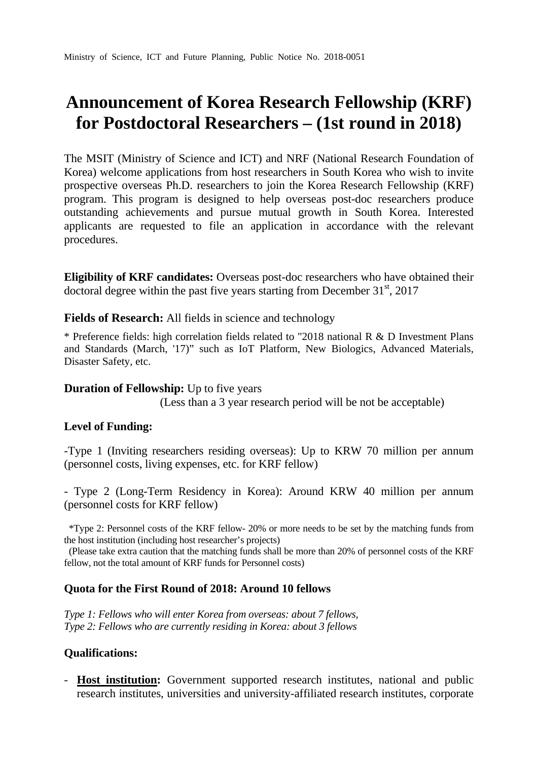# **Announcement of Korea Research Fellowship (KRF) for Postdoctoral Researchers – (1st round in 2018)**

The MSIT (Ministry of Science and ICT) and NRF (National Research Foundation of Korea) welcome applications from host researchers in South Korea who wish to invite prospective overseas Ph.D. researchers to join the Korea Research Fellowship (KRF) program. This program is designed to help overseas post-doc researchers produce outstanding achievements and pursue mutual growth in South Korea. Interested applicants are requested to file an application in accordance with the relevant procedures.

**Eligibility of KRF candidates:** Overseas post-doc researchers who have obtained their doctoral degree within the past five years starting from December  $31<sup>st</sup>$ , 2017

**Fields of Research:** All fields in science and technology

\* Preference fields: high correlation fields related to "2018 national R & D Investment Plans and Standards (March, '17)" such as IoT Platform, New Biologics, Advanced Materials, Disaster Safety, etc.

#### **Duration of Fellowship:** Up to five years

(Less than a 3 year research period will be not be acceptable)

#### **Level of Funding:**

-Type 1 (Inviting researchers residing overseas): Up to KRW 70 million per annum (personnel costs, living expenses, etc. for KRF fellow)

- Type 2 (Long-Term Residency in Korea): Around KRW 40 million per annum (personnel costs for KRF fellow)

\*Type 2: Personnel costs of the KRF fellow- 20% or more needs to be set by the matching funds from the host institution (including host researcher's projects)

(Please take extra caution that the matching funds shall be more than 20% of personnel costs of the KRF fellow, not the total amount of KRF funds for Personnel costs)

#### **Quota for the First Round of 2018: Around 10 fellows**

*Type 1: Fellows who will enter Korea from overseas: about 7 fellows, Type 2: Fellows who are currently residing in Korea: about 3 fellows* 

#### **Qualifications:**

- **Host institution:** Government supported research institutes, national and public research institutes, universities and university-affiliated research institutes, corporate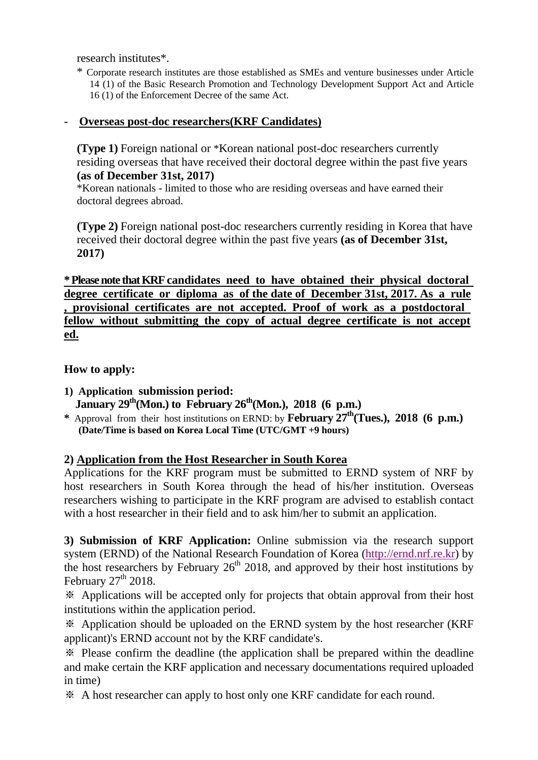research institutes\*.

\* Corporate research institutes are those established as SMEs and venture businesses under Article 14 (1) of the Basic Research Promotion and Technology Development Support Act and Article 16 (1) of the Enforcement Decree of the same Act.

## **- Overseas post-doc researchers(KRF Candidates)**

**(Type 1)** Foreign national or \*Korean national post-doc researchers currently residing overseas that have received their doctoral degree within the past five years **(as of December 31st, 2017)**

\*Korean nationals - limited to those who are residing overseas and have earned their doctoral degrees abroad.

**(Type 2)** Foreign national post-doc researchers currently residing in Korea that have received their doctoral degree within the past five years **(as of December 31st, 2017)**

**\* Please note that KRF candidates need to have obtained their physical doctoral degree certificate or diploma as of the date of December 31st, 2017. As a rule , provisional certificates are not accepted. Proof of work as a postdoctoral fellow without submitting the copy of actual degree certificate is not accept ed.**

**How to apply:** 

- **1) Application submission period:**  January 29<sup>th</sup>(Mon.) to February 26<sup>th</sup>(Mon.), 2018 (6 p.m.)
- \* Approval from their host institutions on ERND: by **February 27<sup>th</sup>(Tues.), 2018 (6 p.m.) (Date/Time is based on Korea Local Time (UTC/GMT +9 hours)**

# **2) Application from the Host Researcher in South Korea**

Applications for the KRF program must be submitted to ERND system of NRF by host researchers in South Korea through the head of his/her institution. Overseas researchers wishing to participate in the KRF program are advised to establish contact with a host researcher in their field and to ask him/her to submit an application.

**3) Submission of KRF Application:** Online submission via the research support system (ERND) of the National Research Foundation of Korea ([http://ernd.nrf.re.kr\)](http://ernd.nrf.re.kr/) by the host researchers by February  $26<sup>th</sup>$  2018, and approved by their host institutions by February  $27<sup>th</sup>$  2018.

※ Applications will be accepted only for projects that obtain approval from their host institutions within the application period.

※ Application should be uploaded on the ERND system by the host researcher (KRF applicant)'s ERND account not by the KRF candidate's.

※ Please confirm the deadline (the application shall be prepared within the deadline and make certain the KRF application and necessary documentations required uploaded in time)

※ A host researcher can apply to host only one KRF candidate for each round.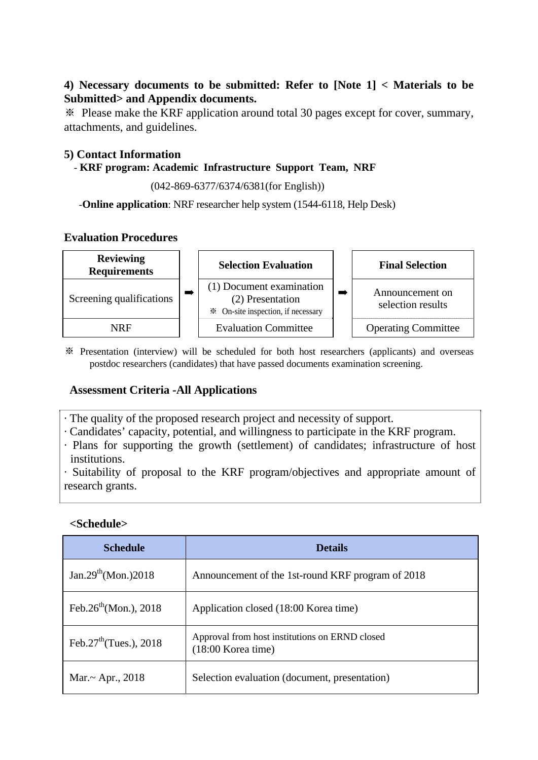### **4) Necessary documents to be submitted: Refer to [Note 1] < Materials to be Submitted> and Appendix documents.**

※ Please make the KRF application around total 30 pages except for cover, summary, attachments, and guidelines.

### **5) Contact Information**

### - **KRF program: Academic Infrastructure Support Team, NRF**

(042-869-6377/6374/6381(for English))

-**Online application**: NRF researcher help system (1544-6118, Help Desk)

#### **Evaluation Procedures**



※ Presentation (interview) will be scheduled for both host researchers (applicants) and overseas postdoc researchers (candidates) that have passed documents examination screening.

# **Assessment Criteria -All Applications**

- · The quality of the proposed research project and necessity of support.
- · Candidates' capacity, potential, and willingness to participate in the KRF program.
- · Plans for supporting the growth (settlement) of candidates; infrastructure of host institutions.

· Suitability of proposal to the KRF program/objectives and appropriate amount of research grants.

#### **<Schedule>**

| <b>Schedule</b>                    | <b>Details</b>                                                         |
|------------------------------------|------------------------------------------------------------------------|
| Jan.29 <sup>th</sup> (Mon.)2018    | Announcement of the 1st-round KRF program of 2018                      |
| Feb.26 <sup>th</sup> (Mon.), 2018  | Application closed (18:00 Korea time)                                  |
| Feb.27 <sup>th</sup> (Tues.), 2018 | Approval from host institutions on ERND closed<br>$(18:00$ Korea time) |
| Mar. $\sim$ Apr., 2018             | Selection evaluation (document, presentation)                          |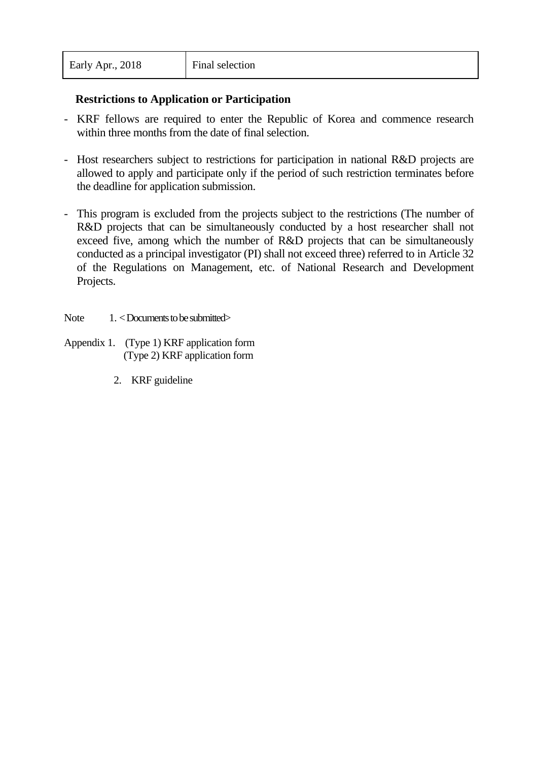### **Restrictions to Application or Participation**

- KRF fellows are required to enter the Republic of Korea and commence research within three months from the date of final selection.
- Host researchers subject to restrictions for participation in national R&D projects are allowed to apply and participate only if the period of such restriction terminates before the deadline for application submission.
- This program is excluded from the projects subject to the restrictions (The number of R&D projects that can be simultaneously conducted by a host researcher shall not exceed five, among which the number of R&D projects that can be simultaneously conducted as a principal investigator (PI) shall not exceed three) referred to in Article 32 of the Regulations on Management, etc. of National Research and Development Projects.
- Note  $1. <$  Documents to be submitted $>$
- Appendix 1. (Type 1) KRF application form (Type 2) KRF application form
	- 2. KRF guideline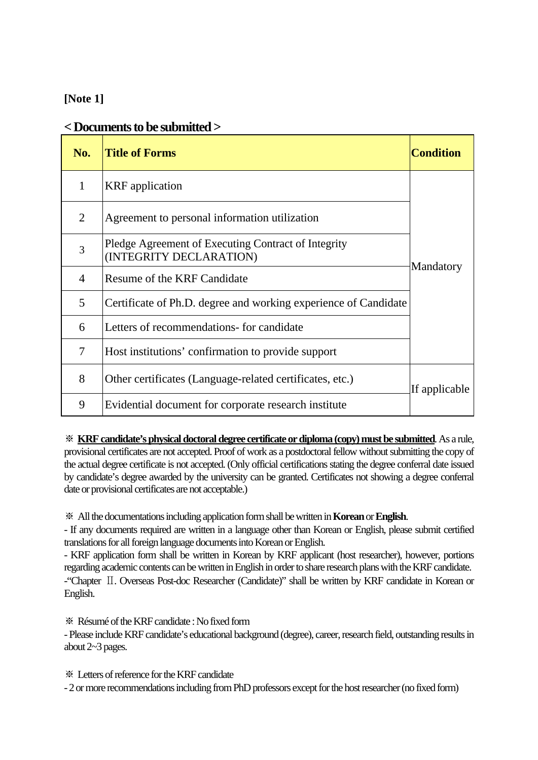### **[Note 1]**

# **< Documents to be submitted >**

| No.            | <b>Title of Forms</b>                                                          | <b>Condition</b> |
|----------------|--------------------------------------------------------------------------------|------------------|
| 1              | <b>KRF</b> application                                                         |                  |
| $\overline{2}$ | Agreement to personal information utilization                                  | Mandatory        |
| 3              | Pledge Agreement of Executing Contract of Integrity<br>(INTEGRITY DECLARATION) |                  |
| 4              | Resume of the KRF Candidate                                                    |                  |
| 5              | Certificate of Ph.D. degree and working experience of Candidate                |                  |
| 6              | Letters of recommendations- for candidate                                      |                  |
| 7              | Host institutions' confirmation to provide support                             |                  |
| 8              | Other certificates (Language-related certificates, etc.)                       | If applicable    |
| 9              | Evidential document for corporate research institute                           |                  |

※ **KRF candidate's physical doctoral degree certificate or diploma (copy) must be submitted**. As a rule, provisional certificates are not accepted. Proof of work as a postdoctoral fellow without submitting the copy of the actual degree certificate is not accepted. (Only official certifications stating the degree conferral date issued by candidate's degree awarded by the university can be granted. Certificates not showing a degree conferral date or provisional certificates are not acceptable.)

※ All the documentations including application form shall be written in **Korean** or **English**.

- If any documents required are written in a language other than Korean or English, please submit certified translations for all foreign language documents into Korean or English.

- KRF application form shall be written in Korean by KRF applicant (host researcher), however, portions regarding academic contents can be written in English in order to share research plans with the KRF candidate. -"Chapter Ⅱ. Overseas Post-doc Researcher (Candidate)" shall be written by KRF candidate in Korean or English.

※ Résumé of the KRF candidate : No fixed form

- Please include KRF candidate's educational background (degree), career, research field, outstanding results in about 2~3 pages.

※ Letters of reference for the KRF candidate

- 2 or more recommendations including from PhD professors except for the host researcher (no fixed form)